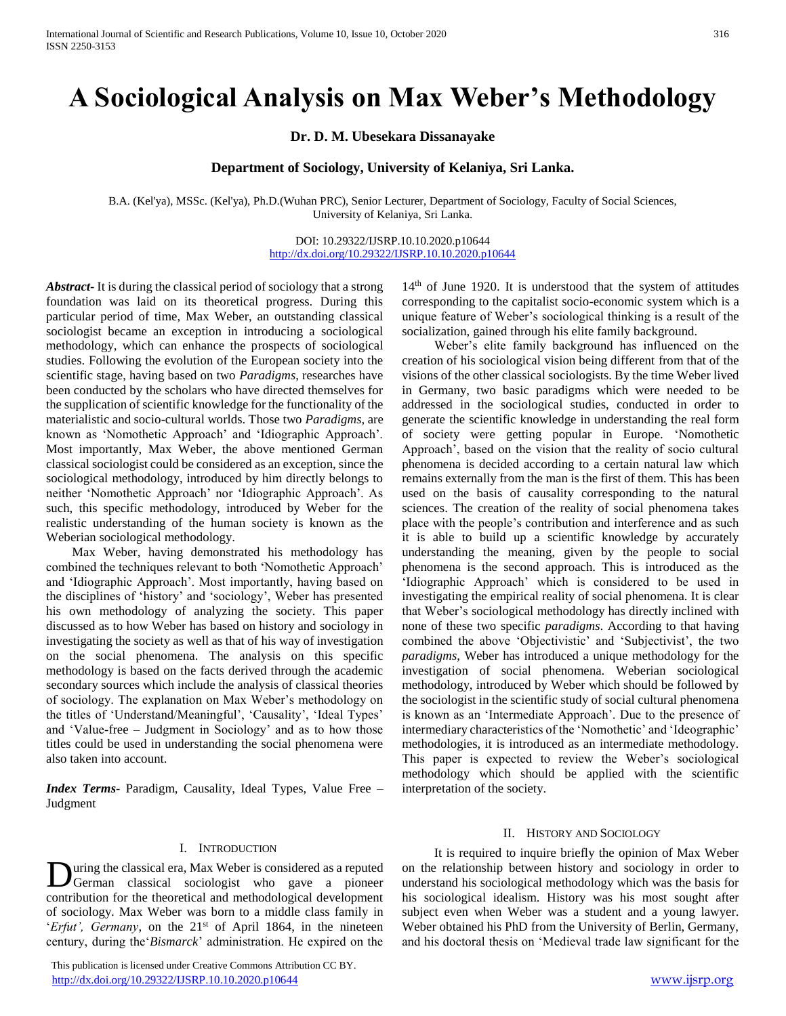# **A Sociological Analysis on Max Weber's Methodology**

**Dr. D. M. Ubesekara Dissanayake**

# **Department of Sociology, University of Kelaniya, Sri Lanka.**

B.A. (Kel'ya), MSSc. (Kel'ya), Ph.D.(Wuhan PRC), Senior Lecturer, Department of Sociology, Faculty of Social Sciences, University of Kelaniya, Sri Lanka.

## DOI: 10.29322/IJSRP.10.10.2020.p10644 <http://dx.doi.org/10.29322/IJSRP.10.10.2020.p10644>

*Abstract***-** It is during the classical period of sociology that a strong foundation was laid on its theoretical progress. During this particular period of time, Max Weber, an outstanding classical sociologist became an exception in introducing a sociological methodology, which can enhance the prospects of sociological studies. Following the evolution of the European society into the scientific stage, having based on two *Paradigms*, researches have been conducted by the scholars who have directed themselves for the supplication of scientific knowledge for the functionality of the materialistic and socio-cultural worlds. Those two *Paradigms*, are known as 'Nomothetic Approach' and 'Idiographic Approach'. Most importantly, Max Weber, the above mentioned German classical sociologist could be considered as an exception, since the sociological methodology, introduced by him directly belongs to neither 'Nomothetic Approach' nor 'Idiographic Approach'. As such, this specific methodology, introduced by Weber for the realistic understanding of the human society is known as the Weberian sociological methodology.

 Max Weber, having demonstrated his methodology has combined the techniques relevant to both 'Nomothetic Approach' and 'Idiographic Approach'. Most importantly, having based on the disciplines of 'history' and 'sociology', Weber has presented his own methodology of analyzing the society. This paper discussed as to how Weber has based on history and sociology in investigating the society as well as that of his way of investigation on the social phenomena. The analysis on this specific methodology is based on the facts derived through the academic secondary sources which include the analysis of classical theories of sociology. The explanation on Max Weber's methodology on the titles of 'Understand/Meaningful', 'Causality', 'Ideal Types' and 'Value-free – Judgment in Sociology' and as to how those titles could be used in understanding the social phenomena were also taken into account.

*Index Terms*- Paradigm, Causality, Ideal Types, Value Free – Judgment

#### I. INTRODUCTION

uring the classical era, Max Weber is considered as a reputed German classical sociologist who gave a pioneer contribution for the theoretical and methodological development of sociology. Max Weber was born to a middle class family in '*Erfut'*, *Germany*, on the 21<sup>st</sup> of April 1864, in the nineteen century, during the'*Bismarck*' administration. He expired on the D

 This publication is licensed under Creative Commons Attribution CC BY. <http://dx.doi.org/10.29322/IJSRP.10.10.2020.p10644> [www.ijsrp.org](http://ijsrp.org/)

14<sup>th</sup> of June 1920. It is understood that the system of attitudes corresponding to the capitalist socio-economic system which is a unique feature of Weber's sociological thinking is a result of the socialization, gained through his elite family background.

 Weber's elite family background has influenced on the creation of his sociological vision being different from that of the visions of the other classical sociologists. By the time Weber lived in Germany, two basic paradigms which were needed to be addressed in the sociological studies, conducted in order to generate the scientific knowledge in understanding the real form of society were getting popular in Europe. 'Nomothetic Approach', based on the vision that the reality of socio cultural phenomena is decided according to a certain natural law which remains externally from the man is the first of them. This has been used on the basis of causality corresponding to the natural sciences. The creation of the reality of social phenomena takes place with the people's contribution and interference and as such it is able to build up a scientific knowledge by accurately understanding the meaning, given by the people to social phenomena is the second approach. This is introduced as the 'Idiographic Approach' which is considered to be used in investigating the empirical reality of social phenomena. It is clear that Weber's sociological methodology has directly inclined with none of these two specific *paradigms*. According to that having combined the above 'Objectivistic' and 'Subjectivist', the two *paradigms*, Weber has introduced a unique methodology for the investigation of social phenomena. Weberian sociological methodology, introduced by Weber which should be followed by the sociologist in the scientific study of social cultural phenomena is known as an 'Intermediate Approach'. Due to the presence of intermediary characteristics of the 'Nomothetic' and 'Ideographic' methodologies, it is introduced as an intermediate methodology. This paper is expected to review the Weber's sociological methodology which should be applied with the scientific interpretation of the society.

## II. HISTORY AND SOCIOLOGY

 It is required to inquire briefly the opinion of Max Weber on the relationship between history and sociology in order to understand his sociological methodology which was the basis for his sociological idealism. History was his most sought after subject even when Weber was a student and a young lawyer. Weber obtained his PhD from the University of Berlin, Germany, and his doctoral thesis on 'Medieval trade law significant for the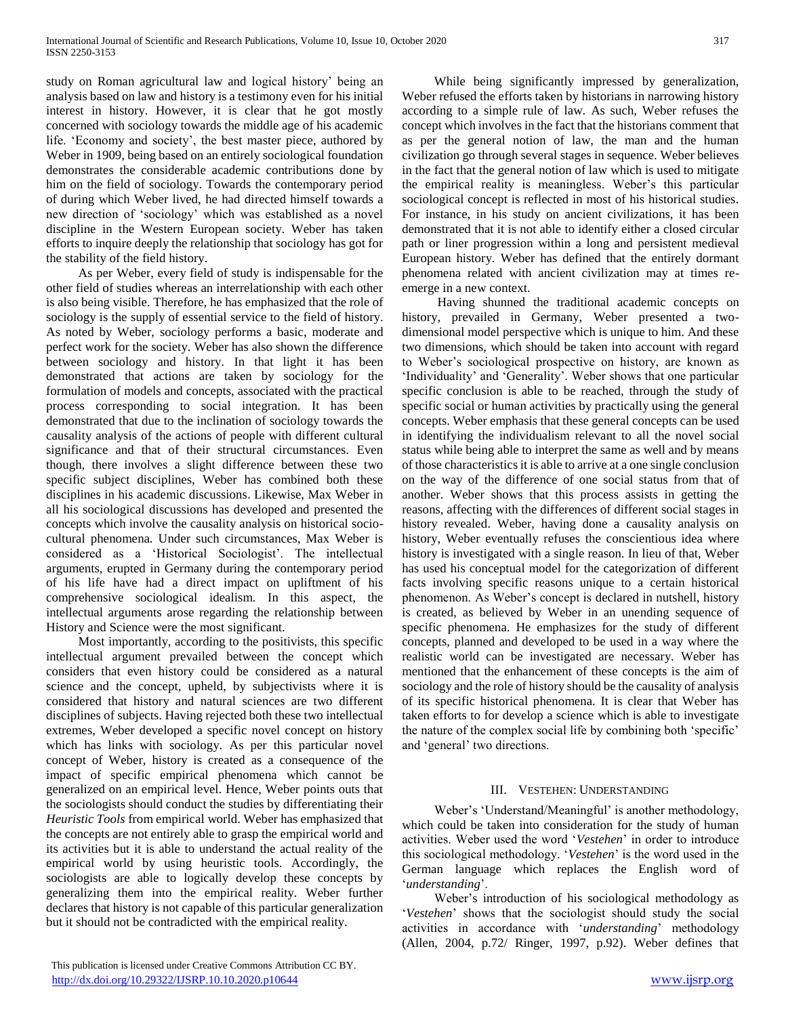study on Roman agricultural law and logical history' being an analysis based on law and history is a testimony even for his initial interest in history. However, it is clear that he got mostly concerned with sociology towards the middle age of his academic life. 'Economy and society', the best master piece, authored by Weber in 1909, being based on an entirely sociological foundation demonstrates the considerable academic contributions done by him on the field of sociology. Towards the contemporary period of during which Weber lived, he had directed himself towards a new direction of 'sociology' which was established as a novel discipline in the Western European society. Weber has taken efforts to inquire deeply the relationship that sociology has got for the stability of the field history.

 As per Weber, every field of study is indispensable for the other field of studies whereas an interrelationship with each other is also being visible. Therefore, he has emphasized that the role of sociology is the supply of essential service to the field of history. As noted by Weber, sociology performs a basic, moderate and perfect work for the society. Weber has also shown the difference between sociology and history. In that light it has been demonstrated that actions are taken by sociology for the formulation of models and concepts, associated with the practical process corresponding to social integration. It has been demonstrated that due to the inclination of sociology towards the causality analysis of the actions of people with different cultural significance and that of their structural circumstances. Even though, there involves a slight difference between these two specific subject disciplines, Weber has combined both these disciplines in his academic discussions. Likewise, Max Weber in all his sociological discussions has developed and presented the concepts which involve the causality analysis on historical sociocultural phenomena. Under such circumstances, Max Weber is considered as a 'Historical Sociologist'. The intellectual arguments, erupted in Germany during the contemporary period of his life have had a direct impact on upliftment of his comprehensive sociological idealism. In this aspect, the intellectual arguments arose regarding the relationship between History and Science were the most significant.

 Most importantly, according to the positivists, this specific intellectual argument prevailed between the concept which considers that even history could be considered as a natural science and the concept, upheld, by subjectivists where it is considered that history and natural sciences are two different disciplines of subjects. Having rejected both these two intellectual extremes, Weber developed a specific novel concept on history which has links with sociology. As per this particular novel concept of Weber, history is created as a consequence of the impact of specific empirical phenomena which cannot be generalized on an empirical level. Hence, Weber points outs that the sociologists should conduct the studies by differentiating their *Heuristic Tools* from empirical world. Weber has emphasized that the concepts are not entirely able to grasp the empirical world and its activities but it is able to understand the actual reality of the empirical world by using heuristic tools. Accordingly, the sociologists are able to logically develop these concepts by generalizing them into the empirical reality. Weber further declares that history is not capable of this particular generalization but it should not be contradicted with the empirical reality.

 While being significantly impressed by generalization, Weber refused the efforts taken by historians in narrowing history according to a simple rule of law. As such, Weber refuses the concept which involves in the fact that the historians comment that as per the general notion of law, the man and the human civilization go through several stages in sequence. Weber believes in the fact that the general notion of law which is used to mitigate the empirical reality is meaningless. Weber's this particular sociological concept is reflected in most of his historical studies. For instance, in his study on ancient civilizations, it has been demonstrated that it is not able to identify either a closed circular path or liner progression within a long and persistent medieval European history. Weber has defined that the entirely dormant phenomena related with ancient civilization may at times reemerge in a new context.

 Having shunned the traditional academic concepts on history, prevailed in Germany, Weber presented a twodimensional model perspective which is unique to him. And these two dimensions, which should be taken into account with regard to Weber's sociological prospective on history, are known as 'Individuality' and 'Generality'. Weber shows that one particular specific conclusion is able to be reached, through the study of specific social or human activities by practically using the general concepts. Weber emphasis that these general concepts can be used in identifying the individualism relevant to all the novel social status while being able to interpret the same as well and by means of those characteristics it is able to arrive at a one single conclusion on the way of the difference of one social status from that of another. Weber shows that this process assists in getting the reasons, affecting with the differences of different social stages in history revealed. Weber, having done a causality analysis on history, Weber eventually refuses the conscientious idea where history is investigated with a single reason. In lieu of that, Weber has used his conceptual model for the categorization of different facts involving specific reasons unique to a certain historical phenomenon. As Weber's concept is declared in nutshell, history is created, as believed by Weber in an unending sequence of specific phenomena. He emphasizes for the study of different concepts, planned and developed to be used in a way where the realistic world can be investigated are necessary. Weber has mentioned that the enhancement of these concepts is the aim of sociology and the role of history should be the causality of analysis of its specific historical phenomena. It is clear that Weber has taken efforts to for develop a science which is able to investigate the nature of the complex social life by combining both 'specific' and 'general' two directions.

# III. VESTEHEN: UNDERSTANDING

 Weber's 'Understand/Meaningful' is another methodology, which could be taken into consideration for the study of human activities. Weber used the word '*Vestehen*' in order to introduce this sociological methodology. '*Vestehen*' is the word used in the German language which replaces the English word of '*understanding*'.

 Weber's introduction of his sociological methodology as '*Vestehen*' shows that the sociologist should study the social activities in accordance with '*understanding*' methodology (Allen, 2004, p.72/ Ringer, 1997, p.92). Weber defines that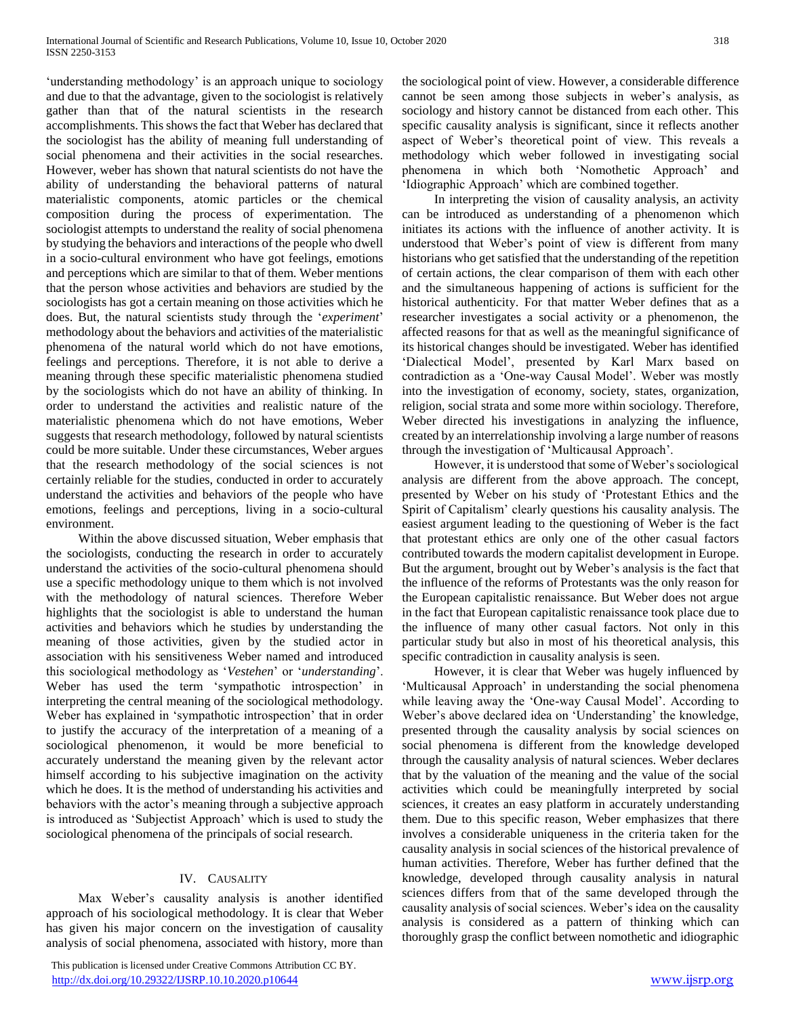'understanding methodology' is an approach unique to sociology and due to that the advantage, given to the sociologist is relatively gather than that of the natural scientists in the research accomplishments. This shows the fact that Weber has declared that the sociologist has the ability of meaning full understanding of social phenomena and their activities in the social researches. However, weber has shown that natural scientists do not have the ability of understanding the behavioral patterns of natural materialistic components, atomic particles or the chemical composition during the process of experimentation. The sociologist attempts to understand the reality of social phenomena by studying the behaviors and interactions of the people who dwell in a socio-cultural environment who have got feelings, emotions and perceptions which are similar to that of them. Weber mentions that the person whose activities and behaviors are studied by the sociologists has got a certain meaning on those activities which he does. But, the natural scientists study through the '*experiment*' methodology about the behaviors and activities of the materialistic phenomena of the natural world which do not have emotions, feelings and perceptions. Therefore, it is not able to derive a meaning through these specific materialistic phenomena studied by the sociologists which do not have an ability of thinking. In order to understand the activities and realistic nature of the materialistic phenomena which do not have emotions, Weber suggests that research methodology, followed by natural scientists could be more suitable. Under these circumstances, Weber argues that the research methodology of the social sciences is not certainly reliable for the studies, conducted in order to accurately understand the activities and behaviors of the people who have emotions, feelings and perceptions, living in a socio-cultural environment.

 Within the above discussed situation, Weber emphasis that the sociologists, conducting the research in order to accurately understand the activities of the socio-cultural phenomena should use a specific methodology unique to them which is not involved with the methodology of natural sciences. Therefore Weber highlights that the sociologist is able to understand the human activities and behaviors which he studies by understanding the meaning of those activities, given by the studied actor in association with his sensitiveness Weber named and introduced this sociological methodology as '*Vestehen*' or '*understanding*'. Weber has used the term 'sympathotic introspection' in interpreting the central meaning of the sociological methodology. Weber has explained in 'sympathotic introspection' that in order to justify the accuracy of the interpretation of a meaning of a sociological phenomenon, it would be more beneficial to accurately understand the meaning given by the relevant actor himself according to his subjective imagination on the activity which he does. It is the method of understanding his activities and behaviors with the actor's meaning through a subjective approach is introduced as 'Subjectist Approach' which is used to study the sociological phenomena of the principals of social research.

# IV. CAUSALITY

 Max Weber's causality analysis is another identified approach of his sociological methodology. It is clear that Weber has given his major concern on the investigation of causality analysis of social phenomena, associated with history, more than

the sociological point of view. However, a considerable difference cannot be seen among those subjects in weber's analysis, as sociology and history cannot be distanced from each other. This specific causality analysis is significant, since it reflects another aspect of Weber's theoretical point of view. This reveals a methodology which weber followed in investigating social phenomena in which both 'Nomothetic Approach' and 'Idiographic Approach' which are combined together.

 In interpreting the vision of causality analysis, an activity can be introduced as understanding of a phenomenon which initiates its actions with the influence of another activity. It is understood that Weber's point of view is different from many historians who get satisfied that the understanding of the repetition of certain actions, the clear comparison of them with each other and the simultaneous happening of actions is sufficient for the historical authenticity. For that matter Weber defines that as a researcher investigates a social activity or a phenomenon, the affected reasons for that as well as the meaningful significance of its historical changes should be investigated. Weber has identified 'Dialectical Model', presented by Karl Marx based on contradiction as a 'One-way Causal Model'. Weber was mostly into the investigation of economy, society, states, organization, religion, social strata and some more within sociology. Therefore, Weber directed his investigations in analyzing the influence, created by an interrelationship involving a large number of reasons through the investigation of 'Multicausal Approach'.

 However, it is understood that some of Weber's sociological analysis are different from the above approach. The concept, presented by Weber on his study of 'Protestant Ethics and the Spirit of Capitalism' clearly questions his causality analysis. The easiest argument leading to the questioning of Weber is the fact that protestant ethics are only one of the other casual factors contributed towards the modern capitalist development in Europe. But the argument, brought out by Weber's analysis is the fact that the influence of the reforms of Protestants was the only reason for the European capitalistic renaissance. But Weber does not argue in the fact that European capitalistic renaissance took place due to the influence of many other casual factors. Not only in this particular study but also in most of his theoretical analysis, this specific contradiction in causality analysis is seen.

 However, it is clear that Weber was hugely influenced by 'Multicausal Approach' in understanding the social phenomena while leaving away the 'One-way Causal Model'. According to Weber's above declared idea on 'Understanding' the knowledge, presented through the causality analysis by social sciences on social phenomena is different from the knowledge developed through the causality analysis of natural sciences. Weber declares that by the valuation of the meaning and the value of the social activities which could be meaningfully interpreted by social sciences, it creates an easy platform in accurately understanding them. Due to this specific reason, Weber emphasizes that there involves a considerable uniqueness in the criteria taken for the causality analysis in social sciences of the historical prevalence of human activities. Therefore, Weber has further defined that the knowledge, developed through causality analysis in natural sciences differs from that of the same developed through the causality analysis of social sciences. Weber's idea on the causality analysis is considered as a pattern of thinking which can thoroughly grasp the conflict between nomothetic and idiographic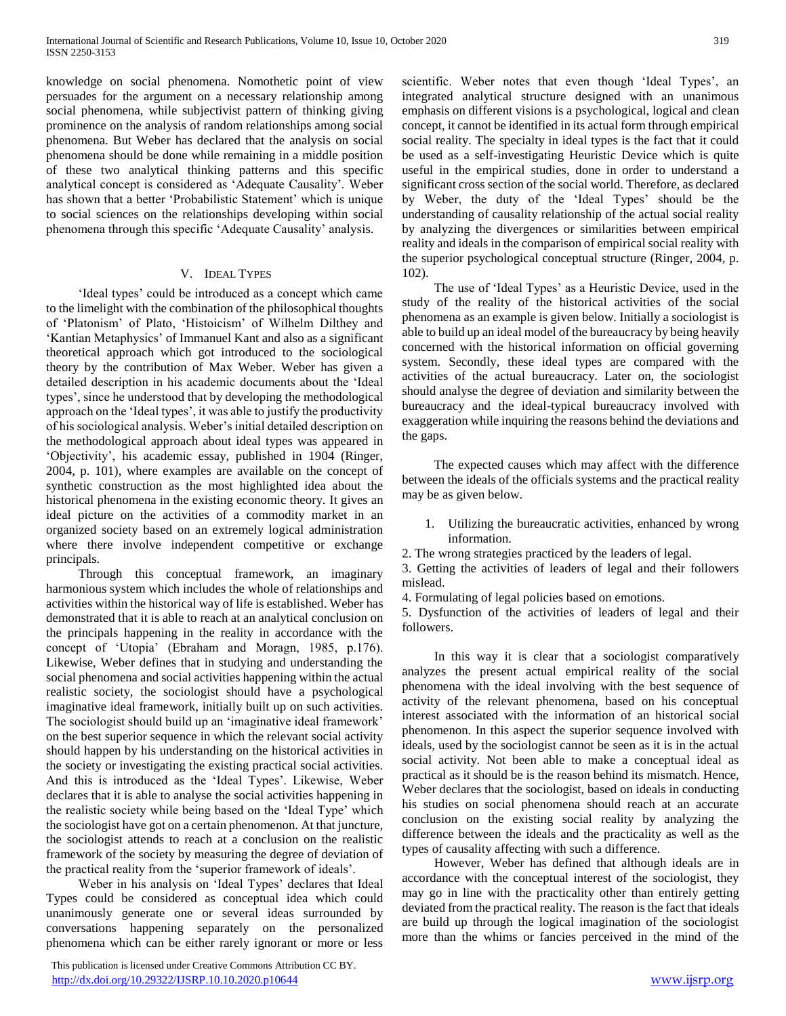knowledge on social phenomena. Nomothetic point of view persuades for the argument on a necessary relationship among social phenomena, while subjectivist pattern of thinking giving prominence on the analysis of random relationships among social phenomena. But Weber has declared that the analysis on social phenomena should be done while remaining in a middle position of these two analytical thinking patterns and this specific analytical concept is considered as 'Adequate Causality'. Weber has shown that a better 'Probabilistic Statement' which is unique to social sciences on the relationships developing within social phenomena through this specific 'Adequate Causality' analysis.

## V. IDEAL TYPES

 'Ideal types' could be introduced as a concept which came to the limelight with the combination of the philosophical thoughts of 'Platonism' of Plato, 'Histoicism' of Wilhelm Dilthey and 'Kantian Metaphysics' of Immanuel Kant and also as a significant theoretical approach which got introduced to the sociological theory by the contribution of Max Weber. Weber has given a detailed description in his academic documents about the 'Ideal types', since he understood that by developing the methodological approach on the 'Ideal types', it was able to justify the productivity of his sociological analysis. Weber's initial detailed description on the methodological approach about ideal types was appeared in 'Objectivity', his academic essay, published in 1904 (Ringer, 2004, p. 101), where examples are available on the concept of synthetic construction as the most highlighted idea about the historical phenomena in the existing economic theory. It gives an ideal picture on the activities of a commodity market in an organized society based on an extremely logical administration where there involve independent competitive or exchange principals.

 Through this conceptual framework, an imaginary harmonious system which includes the whole of relationships and activities within the historical way of life is established. Weber has demonstrated that it is able to reach at an analytical conclusion on the principals happening in the reality in accordance with the concept of 'Utopia' (Ebraham and Moragn, 1985, p.176). Likewise, Weber defines that in studying and understanding the social phenomena and social activities happening within the actual realistic society, the sociologist should have a psychological imaginative ideal framework, initially built up on such activities. The sociologist should build up an 'imaginative ideal framework' on the best superior sequence in which the relevant social activity should happen by his understanding on the historical activities in the society or investigating the existing practical social activities. And this is introduced as the 'Ideal Types'. Likewise, Weber declares that it is able to analyse the social activities happening in the realistic society while being based on the 'Ideal Type' which the sociologist have got on a certain phenomenon. At that juncture, the sociologist attends to reach at a conclusion on the realistic framework of the society by measuring the degree of deviation of the practical reality from the 'superior framework of ideals'.

 Weber in his analysis on 'Ideal Types' declares that Ideal Types could be considered as conceptual idea which could unanimously generate one or several ideas surrounded by conversations happening separately on the personalized phenomena which can be either rarely ignorant or more or less

 This publication is licensed under Creative Commons Attribution CC BY. <http://dx.doi.org/10.29322/IJSRP.10.10.2020.p10644> [www.ijsrp.org](http://ijsrp.org/)

scientific. Weber notes that even though 'Ideal Types', an integrated analytical structure designed with an unanimous emphasis on different visions is a psychological, logical and clean concept, it cannot be identified in its actual form through empirical social reality. The specialty in ideal types is the fact that it could be used as a self-investigating Heuristic Device which is quite useful in the empirical studies, done in order to understand a significant cross section of the social world. Therefore, as declared by Weber, the duty of the 'Ideal Types' should be the understanding of causality relationship of the actual social reality by analyzing the divergences or similarities between empirical reality and ideals in the comparison of empirical social reality with the superior psychological conceptual structure (Ringer, 2004, p. 102).

 The use of 'Ideal Types' as a Heuristic Device, used in the study of the reality of the historical activities of the social phenomena as an example is given below. Initially a sociologist is able to build up an ideal model of the bureaucracy by being heavily concerned with the historical information on official governing system. Secondly, these ideal types are compared with the activities of the actual bureaucracy. Later on, the sociologist should analyse the degree of deviation and similarity between the bureaucracy and the ideal-typical bureaucracy involved with exaggeration while inquiring the reasons behind the deviations and the gaps.

 The expected causes which may affect with the difference between the ideals of the officials systems and the practical reality may be as given below.

- 1. Utilizing the bureaucratic activities, enhanced by wrong information.
- 2. The wrong strategies practiced by the leaders of legal.

3. Getting the activities of leaders of legal and their followers mislead.

4. Formulating of legal policies based on emotions.

5. Dysfunction of the activities of leaders of legal and their followers.

 In this way it is clear that a sociologist comparatively analyzes the present actual empirical reality of the social phenomena with the ideal involving with the best sequence of activity of the relevant phenomena, based on his conceptual interest associated with the information of an historical social phenomenon. In this aspect the superior sequence involved with ideals, used by the sociologist cannot be seen as it is in the actual social activity. Not been able to make a conceptual ideal as practical as it should be is the reason behind its mismatch. Hence, Weber declares that the sociologist, based on ideals in conducting his studies on social phenomena should reach at an accurate conclusion on the existing social reality by analyzing the difference between the ideals and the practicality as well as the types of causality affecting with such a difference.

 However, Weber has defined that although ideals are in accordance with the conceptual interest of the sociologist, they may go in line with the practicality other than entirely getting deviated from the practical reality. The reason is the fact that ideals are build up through the logical imagination of the sociologist more than the whims or fancies perceived in the mind of the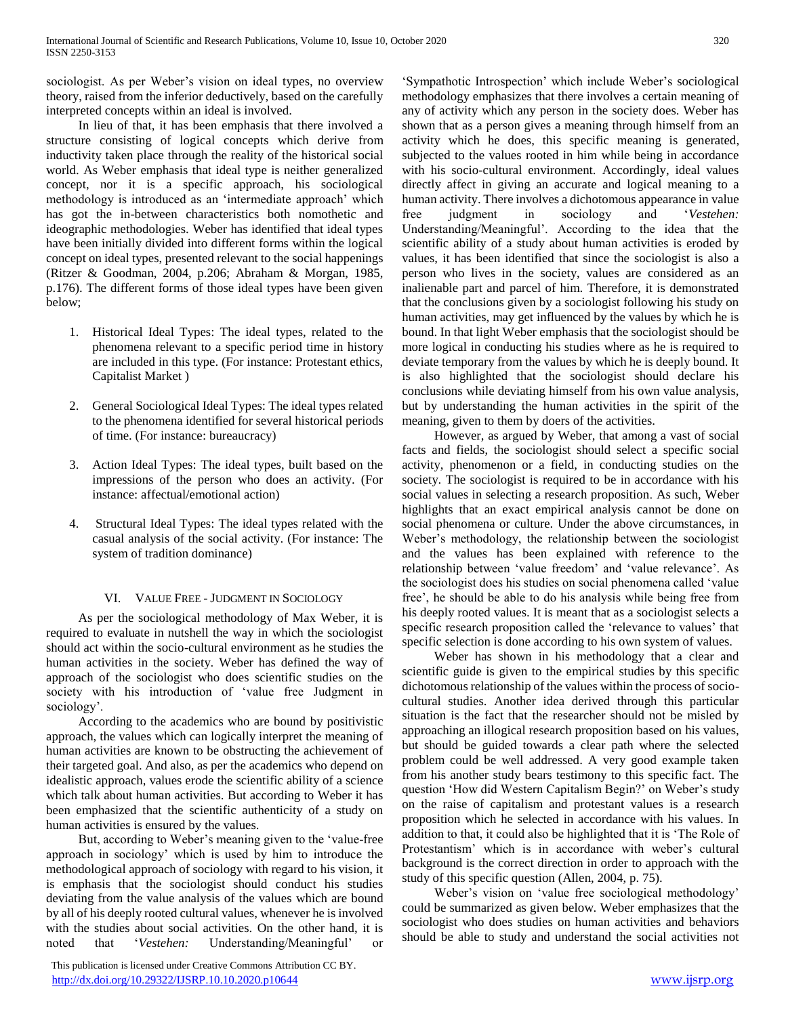sociologist. As per Weber's vision on ideal types, no overview theory, raised from the inferior deductively, based on the carefully interpreted concepts within an ideal is involved.

 In lieu of that, it has been emphasis that there involved a structure consisting of logical concepts which derive from inductivity taken place through the reality of the historical social world. As Weber emphasis that ideal type is neither generalized concept, nor it is a specific approach, his sociological methodology is introduced as an 'intermediate approach' which has got the in-between characteristics both nomothetic and ideographic methodologies. Weber has identified that ideal types have been initially divided into different forms within the logical concept on ideal types, presented relevant to the social happenings (Ritzer & Goodman, 2004, p.206; Abraham & Morgan, 1985, p.176). The different forms of those ideal types have been given below;

- 1. Historical Ideal Types: The ideal types, related to the phenomena relevant to a specific period time in history are included in this type. (For instance: Protestant ethics, Capitalist Market )
- 2. General Sociological Ideal Types: The ideal types related to the phenomena identified for several historical periods of time. (For instance: bureaucracy)
- 3. Action Ideal Types: The ideal types, built based on the impressions of the person who does an activity. (For instance: affectual/emotional action)
- 4. Structural Ideal Types: The ideal types related with the casual analysis of the social activity. (For instance: The system of tradition dominance)

# VI. VALUE FREE - JUDGMENT IN SOCIOLOGY

 As per the sociological methodology of Max Weber, it is required to evaluate in nutshell the way in which the sociologist should act within the socio-cultural environment as he studies the human activities in the society. Weber has defined the way of approach of the sociologist who does scientific studies on the society with his introduction of 'value free Judgment in sociology'.

 According to the academics who are bound by positivistic approach, the values which can logically interpret the meaning of human activities are known to be obstructing the achievement of their targeted goal. And also, as per the academics who depend on idealistic approach, values erode the scientific ability of a science which talk about human activities. But according to Weber it has been emphasized that the scientific authenticity of a study on human activities is ensured by the values.

 But, according to Weber's meaning given to the 'value-free approach in sociology' which is used by him to introduce the methodological approach of sociology with regard to his vision, it is emphasis that the sociologist should conduct his studies deviating from the value analysis of the values which are bound by all of his deeply rooted cultural values, whenever he is involved with the studies about social activities. On the other hand, it is noted that '*Vestehen:* Understanding/Meaningful' or

 This publication is licensed under Creative Commons Attribution CC BY. <http://dx.doi.org/10.29322/IJSRP.10.10.2020.p10644> [www.ijsrp.org](http://ijsrp.org/)

'Sympathotic Introspection' which include Weber's sociological methodology emphasizes that there involves a certain meaning of any of activity which any person in the society does. Weber has shown that as a person gives a meaning through himself from an activity which he does, this specific meaning is generated, subjected to the values rooted in him while being in accordance with his socio-cultural environment. Accordingly, ideal values directly affect in giving an accurate and logical meaning to a human activity. There involves a dichotomous appearance in value free judgment in sociology and '*Vestehen:*  Understanding/Meaningful'. According to the idea that the scientific ability of a study about human activities is eroded by values, it has been identified that since the sociologist is also a person who lives in the society, values are considered as an inalienable part and parcel of him. Therefore, it is demonstrated that the conclusions given by a sociologist following his study on human activities, may get influenced by the values by which he is bound. In that light Weber emphasis that the sociologist should be more logical in conducting his studies where as he is required to deviate temporary from the values by which he is deeply bound. It is also highlighted that the sociologist should declare his conclusions while deviating himself from his own value analysis, but by understanding the human activities in the spirit of the meaning, given to them by doers of the activities.

 However, as argued by Weber, that among a vast of social facts and fields, the sociologist should select a specific social activity, phenomenon or a field, in conducting studies on the society. The sociologist is required to be in accordance with his social values in selecting a research proposition. As such, Weber highlights that an exact empirical analysis cannot be done on social phenomena or culture. Under the above circumstances, in Weber's methodology, the relationship between the sociologist and the values has been explained with reference to the relationship between 'value freedom' and 'value relevance'. As the sociologist does his studies on social phenomena called 'value free', he should be able to do his analysis while being free from his deeply rooted values. It is meant that as a sociologist selects a specific research proposition called the 'relevance to values' that specific selection is done according to his own system of values.

 Weber has shown in his methodology that a clear and scientific guide is given to the empirical studies by this specific dichotomous relationship of the values within the process of sociocultural studies. Another idea derived through this particular situation is the fact that the researcher should not be misled by approaching an illogical research proposition based on his values, but should be guided towards a clear path where the selected problem could be well addressed. A very good example taken from his another study bears testimony to this specific fact. The question 'How did Western Capitalism Begin?' on Weber's study on the raise of capitalism and protestant values is a research proposition which he selected in accordance with his values. In addition to that, it could also be highlighted that it is 'The Role of Protestantism' which is in accordance with weber's cultural background is the correct direction in order to approach with the study of this specific question (Allen, 2004, p. 75).

 Weber's vision on 'value free sociological methodology' could be summarized as given below. Weber emphasizes that the sociologist who does studies on human activities and behaviors should be able to study and understand the social activities not